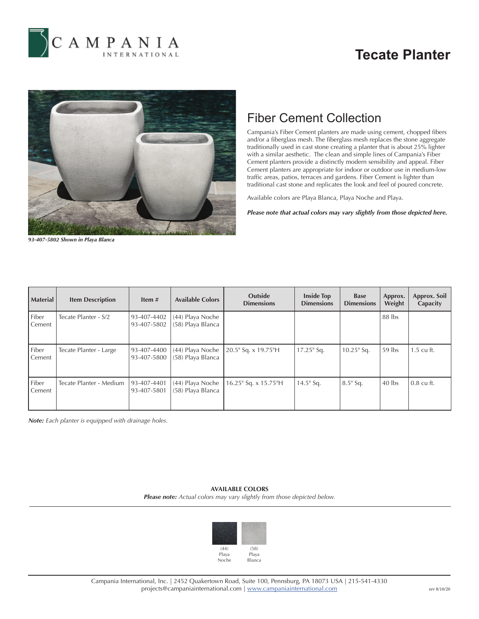

## **Tecate Planter**



## Fiber Cement Collection

Campania's Fiber Cement planters are made using cement, chopped fibers and/or a fiberglass mesh. The fiberglass mesh replaces the stone aggregate traditionally used in cast stone creating a planter that is about 25% lighter with a similar aesthetic. The clean and simple lines of Campania's Fiber Cement planters provide a distinctly modern sensibility and appeal. Fiber Cement planters are appropriate for indoor or outdoor use in medium-low traffic areas, patios, terraces and gardens. Fiber Cement is lighter than traditional cast stone and replicates the look and feel of poured concrete.

Available colors are Playa Blanca, Playa Noche and Playa.

*Please note that actual colors may vary slightly from those depicted here.*

*93-407-5802 Shown in Playa Blanca*

| <b>Material</b> | <b>Item Description</b> | Item $#$                   | <b>Available Colors</b>               | <b>Outside</b><br><b>Dimensions</b> | <b>Inside Top</b><br><b>Dimensions</b> | <b>Base</b><br><b>Dimensions</b> | Approx.<br>Weight | Approx. Soil<br>Capacity |
|-----------------|-------------------------|----------------------------|---------------------------------------|-------------------------------------|----------------------------------------|----------------------------------|-------------------|--------------------------|
| Fiber<br>Cement | Tecate Planter - S/2    | 93-407-4402<br>93-407-5802 | (44) Playa Noche<br>(58) Playa Blanca |                                     |                                        |                                  | 88 lbs            |                          |
| Fiber<br>Cement | Tecate Planter - Large  | 93-407-4400<br>93-407-5800 | (44) Playa Noche<br>(58) Playa Blanca | 20.5" Sq. x 19.75"H                 | 17.25" Sq.                             | $10.25$ " Sq.                    | 59 lbs            | $1.5 \text{ cu ft.}$     |
| Fiber<br>Cement | Tecate Planter - Medium | 93-407-4401<br>93-407-5801 | (44) Playa Noche<br>(58) Playa Blanca | 16.25" Sq. x 15.75"H                | $14.5$ " Sq.                           | $8.5$ " Sq.                      | $40$ lbs          | $0.8 \text{ cu ft.}$     |

*Note: Each planter is equipped with drainage holes.*

**AVAILABLE COLORS** *Please note: Actual colors may vary slightly from those depicted below.*